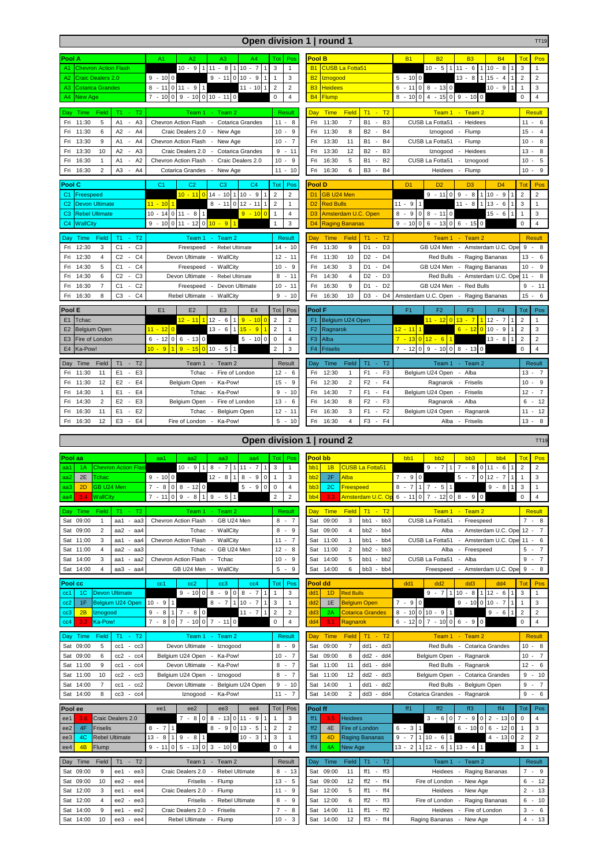| Open division 1   round 1<br><b>TT19</b>                                              |                                                                         |                                  |                                                                                              |                                                                       |                                        |  |  |  |  |  |  |  |
|---------------------------------------------------------------------------------------|-------------------------------------------------------------------------|----------------------------------|----------------------------------------------------------------------------------------------|-----------------------------------------------------------------------|----------------------------------------|--|--|--|--|--|--|--|
| Pool A                                                                                | A1<br>A2<br>A3<br>A4                                                    | Tot<br>Pos                       | Pool B                                                                                       | <b>B1</b><br><b>B2</b><br><b>B3</b><br><b>B4</b>                      | Tot<br>Pos                             |  |  |  |  |  |  |  |
| <b>Chevron Action Flash</b><br>A1                                                     | $10 - 9$<br>$11 - 8$<br>$10 - 7$<br>$\mathbf{1}$<br>$\overline{1}$<br>1 | 3<br>$\mathbf{1}$                | <b>CUSB La Fotta51</b><br><b>B1</b>                                                          | $10 - 5$<br>$111 - 6$<br>10<br>$-8$<br>$\mathbf{1}$                   | 3<br>$\mathbf{1}$                      |  |  |  |  |  |  |  |
| Craic Dealers 2.0<br>A <sub>2</sub>                                                   | $9 - 1000$<br>9<br>$-110$<br>$10 - 9$                                   | 3<br>$\mathbf{1}$                | <b>B2</b><br><b>Iznogood</b>                                                                 | $13 - 8$<br>$-100$<br>15<br>5<br>$\mathbf{1}$<br>$-4$                 | $\overline{2}$<br>$\overline{2}$       |  |  |  |  |  |  |  |
| <b>Cotarica Grandes</b><br>A <sub>3</sub>                                             | $8 - 11$ 0 11 - 9<br>$11 - 10$<br>$\mathbf{1}$<br>$\mathbf{1}$          | $\overline{2}$<br>$\overline{2}$ | <b>B3</b><br><b>Heidees</b>                                                                  | 6<br>$-11$ 0<br>$8 - 1300$<br>$10 - 9$                                | $\mathbf{1}$<br>3                      |  |  |  |  |  |  |  |
| <b>New Age</b><br>A4                                                                  | $\mathsf 0$<br>$9 - 10$<br>$0 10 - 11 0$<br>$\overline{7}$<br>$-10$     | $\mathbf 0$<br>$\overline{4}$    | <b>B4</b><br><b>Flump</b>                                                                    | $9 - 1000$<br>$\mathbf 0$<br>$4 - 15$<br>$\overline{0}$<br>8<br>$-10$ | $\mathbf 0$<br>$\overline{\mathbf{4}}$ |  |  |  |  |  |  |  |
| T <sub>2</sub><br>Time<br>Field<br>T <sub>1</sub><br>Dav                              | Team <sub>2</sub><br>Team 1                                             | <b>Result</b>                    | Dav<br><b>Time</b><br>Field<br>T1<br>$- T2$                                                  | Team 1<br>$-$ Team 2                                                  | Result                                 |  |  |  |  |  |  |  |
| 11:30<br>A <sub>3</sub><br>Fri<br>5<br>A1                                             | Chevron Action Flash<br><b>Cotarica Grandes</b><br>$\sim$               | 11<br>8                          | <b>B1</b><br>B <sub>3</sub><br>Fri<br>11:30<br>$\overline{7}$                                | CUSB La Fotta51<br>Heidees                                            | 11<br>6<br>$\sim$                      |  |  |  |  |  |  |  |
| 11:30<br>6<br>A <sub>2</sub><br>A <sub>4</sub><br>Fri<br>×.                           | Craic Dealers 2.0 - New Age                                             | 10<br>9                          | <b>B2</b><br><b>B4</b><br>11:30<br>8<br>Fri<br>×                                             | Flump<br>Iznogood<br>$\overline{\phantom{a}}$                         | 15<br>$\overline{4}$<br>$\sim$         |  |  |  |  |  |  |  |
| A1<br>A <sub>4</sub><br>Fri<br>13:30<br>9<br>$\sim$                                   | Chevron Action Flash<br>- New Age                                       | 10<br>$\overline{7}$             | <b>B1</b><br><b>B4</b><br>Fri<br>13:30<br>11<br>$\sim$                                       | CUSB La Fotta51<br>Flump                                              | 10<br>8<br>$\sim$                      |  |  |  |  |  |  |  |
| Fri<br>13:30<br>10<br>A <sub>2</sub><br>A <sub>3</sub><br>$\sim$                      | Craic Dealers 2.0<br>Cotarica Grandes                                   | 9<br>$-11$                       | B <sub>2</sub><br>B <sub>3</sub><br>Fri<br>13:30<br>12<br>$\sim$                             | Iznogood<br>Heidees                                                   | 13<br>8<br>$\sim$                      |  |  |  |  |  |  |  |
| A2<br>Fri<br>16:30<br>$\mathbf{1}$<br>A1<br>×,                                        | Craic Dealers 2.0<br>Chevron Action Flash<br>٠                          | 10<br>9                          | 5<br><b>B1</b><br>B <sub>2</sub><br>Fri<br>16:30<br>×,                                       | CUSB La Fotta51<br>Iznogood                                           | 5<br>10                                |  |  |  |  |  |  |  |
| A <sub>3</sub><br>16:30<br>$\overline{2}$<br>A4<br>Fri<br>٠                           | Cotarica Grandes<br>- New Age                                           | 11<br>$-10$                      | 16:30<br>B <sub>3</sub><br>Fri<br>6<br><b>B4</b><br>$\sim$                                   | Heidees<br>Flump<br>$\sim$                                            | 10<br>9<br>$\sim$                      |  |  |  |  |  |  |  |
| Pool C                                                                                | C <sub>1</sub><br>C <sub>4</sub><br>C <sub>2</sub><br>C <sub>3</sub>    | Pos<br>Tot                       | Pool D                                                                                       | D <sub>1</sub><br>D <sub>2</sub><br>D <sub>3</sub><br>D <sub>4</sub>  | Tot<br>Pos                             |  |  |  |  |  |  |  |
| C <sub>1</sub><br>Freespeed                                                           | <mark>10 - 11 0</mark> 14 - 10 1<br>$10 - 9$<br>$\mathbf{1}$            | $\overline{2}$<br>$\overline{2}$ | GB U24 Men<br>D <sub>1</sub>                                                                 | $9 - 110$<br>9<br>10<br>$-8$<br>$-9$<br>$\mathbf{1}$                  | $\overline{2}$<br>$\overline{2}$       |  |  |  |  |  |  |  |
| C <sub>2</sub><br><b>Devon Ultimate</b>                                               | $11 - 10$<br>$8 - 110$<br>$12 - 11$<br>$\mathbf{1}$                     | $\overline{2}$<br>$\mathbf{1}$   | D <sub>2</sub><br><b>Red Bulls</b>                                                           | $11 - 9$<br>$11 - 8$<br>$\mathbf{1}$<br>$13 -$<br>6<br>$\overline{1}$ | 3<br>$\mathbf{1}$                      |  |  |  |  |  |  |  |
| <b>Rebel Ultimate</b><br>C <sub>3</sub>                                               | $0 \ 11 - 8$<br>$10 - 14$<br>$\mathbf{1}$<br>$9 - 100$                  | $\mathbf{1}$<br>$\overline{4}$   | D <sub>3</sub><br>Amsterdam U.C. Open                                                        | $15 - 6$<br>$\mathsf g$<br>$\mathbf 0$<br>$8 - 110$<br>8<br>ä,        | $\mathbf{1}$<br>3                      |  |  |  |  |  |  |  |
| C <sub>4</sub><br>WallCity                                                            | $0 \mid 11 - 12$<br>$0 \, 10 - 9$<br>$9 - 10$                           | 3<br>$\mathbf{1}$                | D <sub>4</sub><br><b>Raging Bananas</b>                                                      | $6 - 13$<br>9<br>$\mathbf 0$<br>$6 - 150$<br>$-10$<br>$\mathbf 0$     | $\mathbf 0$<br>$\overline{4}$          |  |  |  |  |  |  |  |
| Field<br>T <sub>2</sub><br>Time<br>T1<br>Dav                                          | Team 1<br>Team <sub>2</sub>                                             | <b>Result</b>                    | $- T2$<br><b>Time</b><br>Field<br>T1<br>Dav                                                  | Team 1<br>Team <sub>2</sub>                                           | <b>Result</b>                          |  |  |  |  |  |  |  |
| 12:30<br>C <sub>3</sub><br>Fri<br>3<br>C <sub>1</sub><br>$\sim$                       | - Rebel Ultimate<br>Freespeed                                           | 14<br>- 10                       | D <sub>1</sub><br>D <sub>3</sub><br>Fri<br>11:30<br>9<br>$\sim$                              | GB U24 Men<br>Amsterdam U.C. Ope<br>$\sim$                            | 9<br>8<br>$\sim$                       |  |  |  |  |  |  |  |
| C <sub>4</sub><br>C <sub>2</sub><br>Fri<br>12:30<br>$\overline{\mathbf{4}}$<br>$\sim$ | Devon Ultimate - WallCity                                               | 12<br>$-11$                      | D <sub>4</sub><br>Fri<br>11:30<br>10<br>D <sub>2</sub><br>$\sim$                             | <b>Red Bulls</b><br>Raging Bananas                                    | $13 -$<br>6                            |  |  |  |  |  |  |  |
| C <sub>4</sub><br>14:30<br>5<br>C <sub>1</sub><br>Fri<br>$\sim$                       | - WallCity<br>Freespeed                                                 | 10<br>9                          | D <sub>1</sub><br>D <sub>4</sub><br>Fri<br>14:30<br>3<br>٠                                   | GB U24 Men<br>Raging Bananas<br>$\sim$                                | 10<br>9<br>$\sim$                      |  |  |  |  |  |  |  |
| Fri<br>C <sub>2</sub><br>C <sub>3</sub><br>14:30<br>6<br>ä,                           | Rebel Ultimate<br>Devon Ultimate<br>$\sim$                              | 8<br>11                          | Fri<br>14:30<br>D <sub>2</sub><br>D <sub>3</sub><br>$\overline{4}$                           | <b>Red Bulls</b><br>Amsterdam U.C. Ope                                | 11<br>8<br>$\overline{\phantom{a}}$    |  |  |  |  |  |  |  |
| C <sub>1</sub><br>C <sub>2</sub><br>16:30<br>$\overline{7}$<br>Fri<br>$\sim$          | Freespeed - Devon Ultimate                                              | 10<br>$-11$                      | D <sub>2</sub><br>16:30<br>9<br>D <sub>1</sub><br>Fri<br>$\sim$                              | <b>Red Bulls</b><br>GB U24 Men<br>÷.                                  | 9<br>11<br>$\sim$                      |  |  |  |  |  |  |  |
| C <sub>3</sub><br>C <sub>4</sub><br>Fri<br>16:30<br>8<br>$\sim$                       | Rebel Ultimate<br>- WallCity                                            | 9<br>$-10$                       | Fri<br>16:30<br>10<br>D <sub>4</sub><br>D <sub>3</sub><br>$\sim$                             | Amsterdam U.C. Open -<br>Raging Bananas                               | 15<br>6<br>$\sim$                      |  |  |  |  |  |  |  |
| Pool E                                                                                | E1<br>E2<br>E <sub>3</sub><br>E4                                        | Tot<br>Pos                       | Pool F<br>F <sub>1</sub><br>F <sub>2</sub><br>F <sub>3</sub><br>F <sub>4</sub><br>Tot<br>Pos |                                                                       |                                        |  |  |  |  |  |  |  |
| E1<br>Tchac                                                                           | <u> 12 - 11 1</u><br>12<br>$9 - 10$<br>6<br>×<br>$\mathbf{1}$           | $\overline{2}$<br>$\overline{2}$ | 11 - 12 0 13 - 7 1<br>$12 - 7$<br>F <sub>1</sub><br>Belgium U24 Open<br>$\overline{2}$       |                                                                       |                                        |  |  |  |  |  |  |  |
| E2<br><b>Belgium Open</b>                                                             | $13 - 6$<br>$15 - 9$<br>$11 - 1200$<br>$\mathbf{1}$                     | $\overline{2}$<br>$\mathbf{1}$   | F <sub>2</sub><br>Ragnarok                                                                   | $6 - 12010$<br><mark>12 - 11</mark> 1<br>$-9$                         | $\overline{2}$<br>3                    |  |  |  |  |  |  |  |
| E <sub>3</sub><br>Fire of London                                                      | $5 - 10$<br>$6 - 120$<br>$6 - 130$<br>$\mathbf 0$                       | $\mathsf 0$<br>$\overline{4}$    | Alba<br>F <sub>3</sub>                                                                       | $-130$<br>$12 - 6$<br>$13 - 8$<br>$\overline{7}$                      | $\overline{2}$<br>$\overline{2}$       |  |  |  |  |  |  |  |
| Ka-Pow!<br>E4                                                                         | $9 - 15$ 0 10 - 5 1<br>$10 - 9$<br>$\overline{1}$                       | $\overline{2}$<br>3              | F <sub>4</sub><br><b>Friselis</b>                                                            | $7 - 12 0 9 - 10 0 8 - 13 0$                                          | $\mathbf 0$<br>$\overline{4}$          |  |  |  |  |  |  |  |
| Field<br>T1<br>T <sub>2</sub><br>Time<br>Dav<br>$\sim$                                | Team 1<br>- Team 2                                                      | Result                           | Field<br>T1<br>$-$ T <sub>2</sub><br>Dav<br><b>Time</b>                                      | Team $1 -$<br>Team 2                                                  | <b>Result</b>                          |  |  |  |  |  |  |  |
| 11:30<br>E <sub>3</sub><br>Fri<br>11<br>E <sub>1</sub><br>$\sim$                      | Tchac<br>- Fire of London                                               | 12<br>6                          | 12:30<br>F <sub>1</sub><br>F <sub>3</sub><br>Fri<br>$\mathbf{1}$<br>$\sim$                   | Belgium U24 Open<br>Alba<br>$\sim$                                    | $13 -$<br>7                            |  |  |  |  |  |  |  |
| 11:30<br>E <sub>2</sub><br>E <sub>4</sub><br>Fri<br>12<br>×                           | Belgium Open - Ka-Pow!                                                  | 15<br>9                          | F <sub>2</sub><br>$-F4$<br>Fri<br>12:30<br>$\overline{2}$                                    | Friselis<br>Ragnarok                                                  | 10<br>9<br>÷.                          |  |  |  |  |  |  |  |
| E <sub>4</sub><br>14:30<br>E1<br>Fri<br>$\mathbf{1}$<br>$\sim$                        | - Ka-Pow!<br>Tchac                                                      | 9<br>10<br>÷.                    | F <sub>1</sub><br>$\overline{7}$<br>F <sub>4</sub><br>14:30<br>Fri<br>$\sim$                 | Belgium U24 Open -<br>Friselis                                        | 12<br>$\overline{7}$<br>×.             |  |  |  |  |  |  |  |
| $\overline{2}$<br>E <sub>2</sub><br>E <sub>3</sub><br>Fri<br>14:30<br>×,              | Belgium Open<br>Fire of London<br>$\overline{\phantom{a}}$              | 13<br>6                          | F <sub>2</sub><br>F <sub>3</sub><br>Fri<br>14:30<br>8<br>ä,                                  | Alba<br>Ragnarok                                                      | 6<br>$-12$                             |  |  |  |  |  |  |  |
| E2<br>16:30<br>11<br>E <sub>1</sub><br>Fri<br>٠                                       | Tchac<br><b>Belgium Open</b><br>$\sim$                                  | 12<br>$-11$                      | $-F2$<br>16:30<br>3<br>F <sub>1</sub><br>Fri                                                 | Belgium U24 Open<br>Ragnarok<br>$\overline{\phantom{a}}$              | 11<br>$-12$                            |  |  |  |  |  |  |  |
| 16:30<br>12<br>E <sub>3</sub><br>E4<br>Fri                                            | - Ka-Pow!<br>Fire of London                                             | 5<br>$-10$                       | F <sub>3</sub><br>F <sub>4</sub><br>16:30<br>Fri<br>4<br>$\sim$                              | Alba<br>Friselis<br>$\sim$                                            | $13 -$<br>8                            |  |  |  |  |  |  |  |
|                                                                                       |                                                                         |                                  | Open division 1   round 2                                                                    |                                                                       | TT <sub>19</sub>                       |  |  |  |  |  |  |  |
| Pool aa                                                                               | aa2<br>aa3<br>aa1<br>aa4                                                | Pos<br>Tot                       | <b>Pool bb</b>                                                                               | bb1<br>b <sub>b2</sub><br>bb3<br>bb4                                  | Pos<br><b>Tot</b>                      |  |  |  |  |  |  |  |
| <b>Chevron Action Flas</b><br>1A<br>aa1                                               | $10 - 9$<br>$-7$ 111 $-7$<br>8<br>$\mathbf{1}$<br>$\mathbf{1}$          | 3<br>$\mathbf{1}$                | <b>CUSB La Fotta51</b><br>bb1<br>1B                                                          | $9 - 7$<br>$7 - 8$<br>$011 - 6$<br>1                                  | $\overline{2}$<br>$\overline{2}$       |  |  |  |  |  |  |  |
| 2E<br>Tchac<br>aa2                                                                    | $9 - 1000$<br>$12 - 8$  1<br>$\bf{8}$<br>$-9$<br>$\pmb{0}$              | $\overline{1}$<br>3              | Alba<br>b <sub>b2</sub><br>2F                                                                | $5 - 7$ 0 12 - 7<br>$7 - 90$<br>$\mathbf{1}$                          | $\mathbf{1}$<br>3                      |  |  |  |  |  |  |  |

| Dav | Time      | Field          | T1.<br>$-$ T <sub>2</sub> | Team 1 - Team 2                           | Result    |
|-----|-----------|----------------|---------------------------|-------------------------------------------|-----------|
|     | Sat 09:00 | $\overline{1}$ | $aa1 - aa3$               | Chevron Action Flash - GB U24 Men         | $8 - 7$   |
|     | Sat 09:00 | 2              | $aa2 - aa4$               | Tchac - WallCity                          | $-9$<br>8 |
|     | Sat 11:00 | 3              |                           | aa1 - aa4 Chevron Action Flash - WallCity | $11 - 7$  |
|     | Sat 11:00 | $\overline{4}$ | $aa2 - aa3$               | Tchac - GB U24 Men                        | $12 - 8$  |
|     | Sat 14:00 | 3              | aa1                       | - aa2 Chevron Action Flash - Tchac        | $10 - 9$  |
|     | Sat 14:00 | 4              | aa $3 - aa4$              | GB U24 Men - WallCity                     | $-9$<br>5 |

| Pool cc                             |                                                     |                                                           |                                        | cc1                                              | cc2                         |                                             | cc3                   |                                     | cc4            | Tot          | Pos                                                                                                                                             | <b>Pool</b> dd  |                            |                     |                                        | dd1                             | dd2                              | dd3                                                            | dd4                       | Tot            | Pos            |
|-------------------------------------|-----------------------------------------------------|-----------------------------------------------------------|----------------------------------------|--------------------------------------------------|-----------------------------|---------------------------------------------|-----------------------|-------------------------------------|----------------|--------------|-------------------------------------------------------------------------------------------------------------------------------------------------|-----------------|----------------------------|---------------------|----------------------------------------|---------------------------------|----------------------------------|----------------------------------------------------------------|---------------------------|----------------|----------------|
| cc1                                 | 1C                                                  |                                                           | <b>Devon Ultimate</b>                  |                                                  |                             |                                             | $9 - 1008 - 9$        | $\mathbf 0$<br>8<br>$\sim$          | $\overline{7}$ | $\mathbf{1}$ | 3                                                                                                                                               | dd1             | 1D                         | <b>Red Bulls</b>    |                                        |                                 | $9 - 7$                          | $10 -$<br>8<br>-1                                              | $12 - 6$                  | 3              | $\overline{1}$ |
| cc2                                 | 1F                                                  |                                                           | Belgium U24 Open                       | $10 - 9$                                         | $\mathbf{1}$                |                                             | $8 - 7$               | $10 -$<br>$\mathbf{1}$              | $\overline{7}$ | 3            |                                                                                                                                                 | dd <sub>2</sub> | 1E                         | <b>Belgium Open</b> |                                        | 90<br>$7 -$                     |                                  | $9 - 100110 - 7$                                               |                           |                | 3              |
| cc3                                 | 2B                                                  | Iznogood                                                  |                                        | $9 -$<br>$7 - 8$<br>$\mathbf 0$<br>$11 - 7$<br>8 |                             |                                             |                       |                                     |                | 2            | $\overline{2}$                                                                                                                                  | dd3             | 2A                         |                     | <b>Cotarica Grandes</b>                |                                 | $8 - 100110 - 9$<br>$\mathbf{1}$ |                                                                | $9 - 6$                   | $\overline{2}$ | $\overline{2}$ |
| cc4                                 | $7 - 1007 - 110$<br>$7 -$<br>Ka-Pow!<br>8 0 <br>3.2 |                                                           |                                        |                                                  |                             |                                             | $\mathbf 0$           | $\overline{4}$                      | dd4            | 3.1          | $6 - 12 \begin{bmatrix} 0 & 7 & -10 \end{bmatrix} \begin{bmatrix} 0 & 6 & -9 \end{bmatrix} \begin{bmatrix} 0 & 0 & 0 \end{bmatrix}$<br>Ragnarok |                 |                            |                     |                                        |                                 | $\mathbf 0$                      | $\overline{\mathbf{4}}$                                        |                           |                |                |
| Dav                                 | <b>Time</b>                                         | Field<br>$T1 -$<br>T <sub>2</sub><br>$-$ Team 2<br>Team 1 |                                        |                                                  |                             |                                             |                       |                                     | <b>Result</b>  | Dav          | <b>Time</b>                                                                                                                                     | Field           | $T1 - 1$<br>T <sub>2</sub> |                     |                                        | Team 1 - Team 2                 |                                  | <b>Result</b>                                                  |                           |                |                |
|                                     | Sat 09:00                                           | 5                                                         | cc1<br>cc3<br>$\sim$                   |                                                  | Devon Ultimate              | $\overline{\phantom{a}}$                    | Iznogood              |                                     |                |              | $8 - 9$                                                                                                                                         | Sat             | 09:00                      |                     | dd1<br>dd3<br>$\sim$                   |                                 | Red Bulls                        | $\overline{\phantom{a}}$                                       | Cotarica Grandes          |                | $10 - 8$       |
|                                     | Sat 09:00                                           | 6                                                         | cc2<br>cc4<br>$\sim$                   |                                                  | Belgium U24 Open - Ka-Pow!  |                                             |                       |                                     |                |              | $10 - 7$                                                                                                                                        |                 | Sat 09:00                  | 8                   | dd4<br>dd <sub>2</sub><br>٠            |                                 | Belaium Open                     | Ragnarok<br>$\sim$                                             |                           |                | $10 - 7$       |
|                                     | Sat 11:00                                           | 9                                                         | cc1<br>cc4<br>$\sim$                   |                                                  | Devon Ultimate              | $\sim$                                      | Ka-Pow!               |                                     |                | 8            | $\overline{7}$<br>$\sim$                                                                                                                        | Sat             | 11:00                      | 11                  | dd1<br>dd4<br>$\overline{\phantom{a}}$ | Red Bulls<br>Ragnarok<br>$\sim$ |                                  |                                                                |                           |                |                |
|                                     | Sat 11:00                                           | 10                                                        | cc2<br>cc3<br>$\sim$                   |                                                  | Belaium U24 Open - Iznogood |                                             |                       |                                     |                |              | $8 - 7$                                                                                                                                         |                 | Sat 11:00                  | 12                  | dd <sub>2</sub><br>dd3<br>٠            |                                 | Belgium Open - Cotarica Grandes  |                                                                |                           |                | $9 - 10$       |
|                                     | Sat 14:00                                           | $\overline{7}$                                            | cc1<br>cc2<br>٠                        |                                                  | Devon Ultimate -            |                                             |                       | Belgium U24 Open                    |                |              | $9 - 10$                                                                                                                                        | Sat             | 14:00                      |                     | dd1<br>dd <sub>2</sub><br>٠            |                                 | Red Bulls                        | Belgium Open<br>$\sim$                                         |                           | 9              | $-7$           |
|                                     | Sat 14:00                                           | 8                                                         | cc3<br>cc4<br>$\sim$                   |                                                  |                             |                                             | Iznogood - Ka-Pow!    |                                     |                |              | $11 - 7$                                                                                                                                        |                 | Sat 14:00                  | $\overline{2}$      | dd3<br>$-$ dd4                         |                                 | Cotarica Grandes                 | Ragnarok<br>$\sim$                                             |                           |                | $9 - 6$        |
| Pool ee<br>ee2<br>ee3<br>ee1<br>ee4 |                                                     |                                                           |                                        |                                                  |                             |                                             |                       | Pool ff<br>ff1<br>ff2<br>ff4<br>ff3 |                |              |                                                                                                                                                 |                 |                            |                     |                                        |                                 |                                  |                                                                |                           |                |                |
|                                     |                                                     |                                                           |                                        |                                                  |                             |                                             |                       |                                     |                | <b>Tot</b>   | Pos                                                                                                                                             |                 |                            |                     |                                        |                                 |                                  |                                                                |                           | Tot            | Pos            |
| ee1                                 | 3.6                                                 |                                                           | Craic Dealers 2.0                      |                                                  | $7 - 8$                     | $\mathbf 0$                                 | 8<br>$13$ 0<br>$\sim$ | $11 - 9$                            |                | 1            | 3                                                                                                                                               | ff1             | 3.5                        | <b>Heidees</b>      |                                        |                                 | $3 -$<br>$\mathbf 0$<br>6        | $\overline{7}$<br>9<br>$\mathbf 0$<br>$\overline{\phantom{a}}$ | $\overline{2}$<br>$-13$ 0 | $\mathbf 0$    | $\overline{4}$ |
| ee <sub>2</sub>                     | 4F                                                  | <b>Friselis</b>                                           |                                        | $8 - 7$                                          | $\mathbf{1}$                |                                             | $8 - 910$             | $13 - 5$                            |                | 2            | $\overline{2}$                                                                                                                                  | ff2             | 4E                         | Fire of London      |                                        | $6 - 3$                         |                                  | $6 - 100$                                                      | $6 - 120$                 |                | 3              |
| ee <sub>3</sub>                     | 4C                                                  |                                                           | <b>Rebel Ultimate</b>                  | $13 -$<br>8                                      | $9 - 8$                     |                                             |                       | $10 - 3$                            |                | 3            |                                                                                                                                                 | ff3             | 4 <sub>D</sub>             |                     | <b>Raging Bananas</b>                  | $9 -$<br>$\overline{7}$         | $10 - 6$                         |                                                                | $4 - 1300$                | $\overline{2}$ | $\overline{2}$ |
| ee4                                 | 4B                                                  | Flump                                                     |                                        | $9 -$<br>11                                      | $ 0 5 - 13 0 3 - 10 0$      |                                             |                       |                                     |                | $\mathbf 0$  | $\overline{4}$                                                                                                                                  | ff4             | 4A                         | New Age             |                                        | $13 -$<br>$\overline{2}$        | $12 - 6$                         | $1 \, 13 - 4$<br>$\vert$ 1                                     |                           | 3              |                |
| Day                                 | Time                                                | Field                                                     | T1<br>T <sub>2</sub><br><b>Section</b> |                                                  | Team 1                      | $\sim$                                      | Team 2                |                                     |                |              | Result                                                                                                                                          | Dav             | Time                       | Field               | $T1 - T2$                              |                                 | Team 1                           | Team 2<br>×.                                                   |                           |                | <b>Result</b>  |
|                                     | Sat 09:00                                           | 9                                                         | ee3<br>ee1<br>٠                        |                                                  | Craic Dealers 2.0           | ٠                                           |                       | Rebel Ultimate                      |                |              | $8 - 13$                                                                                                                                        | Sat             | 09:00                      | 11                  | ff <sub>1</sub><br>ff3<br>٠            |                                 | <b>Heidees</b>                   |                                                                | Raging Bananas            |                | $7 - 9$        |
|                                     | Sat 09:00                                           | 10                                                        | ee2<br>ee4<br>٠                        |                                                  |                             | <b>Friselis</b><br>$\overline{\phantom{a}}$ | Flump                 |                                     |                |              | $13 - 5$                                                                                                                                        | Sat             | 09:00                      | 12                  | $-$ ff4<br>ff2                         |                                 | Fire of London                   | New Age                                                        |                           |                | $6 - 12$       |
|                                     | Sat 12:00                                           | 3                                                         | ee1<br>ee4<br>٠                        |                                                  | Craic Dealers 2.0           |                                             | Flump                 |                                     |                |              | $11 - 9$                                                                                                                                        | Sat             | 12:00                      | 5                   | ff <sub>1</sub><br>$-$ ff4             |                                 | Heidees                          | New Age                                                        |                           |                | $2 - 13$       |
|                                     | Sat 12:00                                           | $\overline{4}$                                            | ee2<br>ee3<br>$\sim$                   |                                                  |                             | <b>Friselis</b><br>$\overline{\phantom{a}}$ |                       | <b>Rebel Ultimate</b>               |                |              | $8 - 9$                                                                                                                                         |                 | Sat 12:00                  | 6                   | ff2<br>$-$ ff3                         |                                 | Fire of London                   | ٠                                                              | Raging Bananas            |                | $6 - 10$       |
|                                     | Sat 14:00                                           | 9                                                         | ee2<br>ee1<br>$\sim$                   |                                                  | Craic Dealers 2.0           |                                             | Friselis              |                                     |                |              | $7 - 8$                                                                                                                                         | Sat             | 14:00                      | 11                  | ff1<br>ff2<br>$\sim$                   |                                 | Heidees                          | Fire of London                                                 |                           |                | $3 - 6$        |

| ааЗ | 2D             | GB U24 Men              |                                | $5 - 9$ 0<br>$7 - 8$ 0 8 - 12 0                                      | 0              | 4                   | bb <sub>3</sub> | 2C               | Freespeed           |                                                    | $9 - 811$<br>$8 - 7$   1  7 - 5  1                                  | 3              | 1                        |
|-----|----------------|-------------------------|--------------------------------|----------------------------------------------------------------------|----------------|---------------------|-----------------|------------------|---------------------|----------------------------------------------------|---------------------------------------------------------------------|----------------|--------------------------|
| aa4 | 3.4            | WallCity                |                                | $7 - 1109 - 8119 - 5$<br>1                                           | 2              | $\overline{2}$      | bb4             | 3.3 <sub>l</sub> |                     |                                                    | Amsterdam U.C. Op 6 - 11 0 7 - 12 0 8 - 9 0                         | $\mathbf 0$    | $\overline{4}$           |
|     |                |                         |                                |                                                                      |                |                     |                 |                  |                     |                                                    |                                                                     |                |                          |
| Dav | Time           | Field                   | T1<br>$-12$                    | Team 1 - Team 2                                                      | Result         |                     | Dav             | <b>Time</b>      | Field               | $T1 -$<br>T <sub>2</sub>                           | $Team 1 -$<br>Team <sub>2</sub>                                     |                | <b>Result</b>            |
|     | Sat 09:00      |                         | aa3<br>aa1                     | Chevron Action Flash - GB U24 Men                                    | $8 - 7$        |                     | Sat             | 09:00            | 3                   | bb1<br>bb <sub>3</sub><br>$\sim$                   | CUSB La Fotta51 - Freespeed                                         |                | $7 - 8$                  |
|     | Sat 09:00      | 2                       | aa2<br>aa4                     | - WallCitv<br>Tchac                                                  | $8 -$          | - 9                 |                 | Sat 09:00        | 4                   | bb <sub>2</sub><br>bb4<br>$\sim$                   | Amsterdam U.C. Ope<br>Alba<br>$\sim$                                | $12 -$         |                          |
|     | Sat 11:00      | 3                       | aa1<br>aa4                     | Chevron Action Flash<br>WallCity<br>$\sim$                           | $11 -$         | $\overline{7}$      |                 | Sat 11:00        | 1                   | bb1<br>bb4<br>$\sim$                               | CUSB La Fotta51<br>Amsterdam U.C. Ope 11 -<br>$\sim$                |                | 6                        |
|     | Sat 11:00      | 4                       | aa2<br>aa3                     | Tchac<br>GB U24 Men<br>$\sim$                                        | $12 - 8$       |                     | Sat             | 11:00            | $\overline{2}$      | bb <sub>2</sub><br>bb <sub>3</sub>                 | Freespeed<br>Alba<br>$\sim$                                         |                | $\overline{7}$<br>$5 -$  |
|     | Sat 14:00      | 3                       | aa2<br>aa1                     | Chevron Action Flash<br>Tchac<br>$\sim$                              | $10 - 9$       |                     |                 | Sat 14:00        | 5                   | bb1<br>bb <sub>2</sub><br>٠                        | CUSB La Fotta51<br>- Alba                                           | 9              | $\overline{7}$<br>$\sim$ |
|     | Sat 14:00      | $\overline{\mathbf{4}}$ | aa3<br>aa4<br>$\sim$           | GB U24 Men - WallCity                                                | $5 - 9$        |                     |                 | Sat 14:00        | 6                   | $bb3 -$<br>bb4                                     | Freespeed - Amsterdam U.C. Ope 9 -                                  |                | 8                        |
|     | Pool cc        |                         |                                | cc2<br>cc3<br>cc4<br>cc1                                             | Tot            | Pos                 | <b>Pool dd</b>  |                  |                     |                                                    | dd2<br>dd3<br>dd <sub>4</sub><br>dd1                                | Tot            | Pos                      |
| cc1 | 1 <sup>C</sup> |                         | <b>Devon Ultimate</b>          | $9 - 10008$<br>$-9$<br>0 <sup>8</sup><br>$-7$                        | $\overline{1}$ | 3                   | dd1             | 1D               | <b>Red Bulls</b>    |                                                    | $10 - 8$<br>$12 - 6$<br>$9 - 7$<br>$\overline{1}$<br>$\overline{1}$ | 3              | $\mathbf{1}$             |
| cc2 | 1F             |                         | Belaium U24 Open               | $10 - 9$<br>$\mathbf{1}$<br>$8 - 7$<br>1 10<br>$-7$                  | 3              | $\mathbf{1}$        | dd <sub>2</sub> | 1E               | <b>Belgium Open</b> |                                                    | $7 - 90$<br>$9 - 100110 - 7$<br>$\mathbf{1}$                        | $\overline{1}$ | 3                        |
| cc3 | 2B             | Iznogood                |                                | $7 - 8 0$<br>$11 - 7$<br>$9 -$<br>8<br>$\mathbf{1}$<br>$\mathbf{1}$  | $\overline{2}$ | $\overline{2}$      | dd3             | 2A               |                     | <b>Cotarica Grandes</b>                            | $9 - 6$<br>$8 - 100110 - 9$<br>$\mathbf{1}$                         | $\overline{2}$ | $\overline{2}$           |
|     | 3.2            | Ka-Pow!                 |                                | $7 -$<br>8 <sup>1</sup><br>$0.7 - 1007 - 110$                        | $\Omega$       | $\overline{4}$      | dd4             | 3.1              | Ragnarok            |                                                    | $6 - 1200$<br>$7 - 1006 - 90$                                       | $\Omega$       | $\overline{4}$           |
| cc4 |                |                         |                                |                                                                      |                |                     |                 |                  |                     |                                                    |                                                                     |                |                          |
|     | Day Time       | Field                   | T1<br>$- T2$                   | Team 1 - Team 2                                                      | <b>Result</b>  |                     | Dav             | <b>Time</b>      | Field               | T1<br>T <sub>2</sub><br>÷.                         | Team <sub>2</sub><br>Team 1<br>- 4                                  |                | <b>Result</b>            |
|     | Sat 09:00      | 5                       | cc3<br>cc1                     | Devon Ultimate - Iznogood                                            | $8 - 9$        |                     | Sat             | 09:00            | $\overline{7}$      | dd1<br>dd3<br>$\overline{\phantom{a}}$             | Red Bulls<br><b>Cotarica Grandes</b><br>$\sim$                      |                | $10 - 8$                 |
|     | Sat 09:00      | 6                       | cc2<br>cc4                     | Belgium U24 Open - Ka-Pow!                                           | $10 -$         | $\overline{7}$      |                 | Sat 09:00        | 8                   | dd <sub>2</sub><br>dd4<br>٠                        | Belgium Open -<br>Ragnarok                                          | $10 -$         | $\overline{7}$           |
|     | Sat 11:00      | 9                       | cc1<br>cc4                     | Devon Ultimate -<br>Ka-Pow!                                          | 8 -            | $\overline{7}$      |                 | Sat 11:00        | 11                  | dd4<br>dd1<br>$\overline{\phantom{a}}$             | Red Bulls<br>Ragnarok<br>$\sim$                                     |                | $12 -$<br>6              |
|     | Sat 11:00      | 10                      | cc2<br>cc3                     | Belgium U24 Open - Iznogood                                          | $8 -$          | $\overline{7}$      | Sat             | 11:00            | 12                  | dd <sub>2</sub><br>dd3                             | Belgium Open<br><b>Cotarica Grandes</b><br>$\sim$                   |                | $9 - 10$                 |
|     | Sat 14:00      | $\overline{7}$          | cc1<br>cc2                     | Devon Ultimate<br>Belgium U24 Open<br>$\sim$                         | $9 -$          | 10                  | Sat             | 14:00            | 1                   | dd1<br>dd <sub>2</sub><br>$\sim$                   | Red Bulls<br>Belgium Open<br>$\sim$                                 | 9              | $\overline{7}$<br>$\sim$ |
|     | Sat 14:00      | 8                       | cc3<br>cc4<br>$\sim$           | Iznogood - Ka-Pow!                                                   | $11 - 7$       |                     |                 | Sat 14:00        | $\overline{2}$      | dd3<br>dd4<br>$\sim$                               | Cotarica Grandes<br>Ragnarok<br>$\sim$                              |                | $9 -$<br>6               |
|     | Pool ee        |                         |                                | ee2<br>ee3<br>ee1<br>ee4                                             | Tot            | Pos                 | Pool ff         |                  |                     |                                                    | ff2<br>ff3<br>ff4<br>ff1                                            | Tot            | Pos                      |
| ee1 | 3.6            |                         | Craic Dealers 2.0              | $7 - 8$   0   8 $-$ 13   0   11<br>$-9$                              | $\mathbf{1}$   | 3                   | ff <sub>1</sub> | 3.5              | <b>Heidees</b>      |                                                    | $3 - 6$<br>$ 0 7 - 9 0 2 - 13 0$                                    | $\mathbf 0$    | $\overline{\mathbf{4}}$  |
| ee2 | 4F             | <b>Friselis</b>         |                                | $8 - 7$<br>$8 - 9$<br>0 <sup>13</sup><br>5<br>$\mathbf{1}$<br>$\sim$ | $\overline{2}$ | $\overline{2}$      | ff2             | 4E               |                     | Fire of London                                     | 3 <sup>1</sup><br>$6 - 10006 - 1200$<br>$6 -$                       | $\overline{1}$ | 3                        |
|     | 4C             |                         | <b>Rebel Ultimate</b>          | $10 - 3$<br>$13 -$<br>8<br>$\mathbf{1}$<br>$9 - 811$                 | 3              |                     | ff3             | 4 <sub>D</sub>   |                     |                                                    | $7 1 10 - 6$<br>$4 - 1300$<br>$9 -$<br>$\mathbf{1}$                 | $\overline{2}$ | $\overline{2}$           |
| ee3 | 4B             |                         |                                | $9 - 1105 - 1303 - 100$                                              |                | 1<br>$\overline{4}$ |                 |                  |                     | <b>Raging Bananas</b>                              | $13 - 2 \mid 1 \mid 12 - 6$<br>$113 - 411$                          | 3              | $\overline{1}$           |
| ee4 |                | Flump                   |                                |                                                                      | $\mathbf 0$    |                     | ff4             | 4A               | <b>New Age</b>      |                                                    |                                                                     |                |                          |
|     | Day Time       | Field                   | T1<br>T <sub>2</sub><br>$\sim$ | - Team $2$<br>Team 1                                                 | Result         |                     | Day             | Time             | Field               | T1<br>T <sub>2</sub><br>$\sim$                     | Team 2<br>Team $1 -$                                                |                | <b>Result</b>            |
|     | Sat 09:00      | 9                       | ee3<br>ee1                     | Craic Dealers 2.0<br><b>Rebel Ultimate</b><br>$\sim$                 | $8 - 13$       |                     | Sat             | 09:00            | 11                  | ff <sub>1</sub><br>ff3<br>$\overline{\phantom{a}}$ | Heidees<br>Raging Bananas<br>$\sim$                                 |                | 9<br>$7 -$               |
|     | Sat 09:00      | 10                      | ee2<br>ee4                     | Flump<br>Friselis<br>$\sim$                                          | $13 - 5$       |                     | Sat             | 09:00            | 12                  | ff4<br>ff <sub>2</sub><br>$\sim$                   | Fire of London - New Age                                            | 6              | $-12$                    |
|     | Sat 12:00      | 3                       | $ee1 -$<br>ee4                 | Craic Dealers 2.0 - Flump                                            | $11 - 9$       |                     |                 | Sat 12:00        | 5                   | ff4<br>$ff1 -$                                     | Heidees - New Age                                                   |                | $2 - 13$                 |
|     |                |                         |                                |                                                                      |                |                     |                 |                  |                     |                                                    |                                                                     |                |                          |